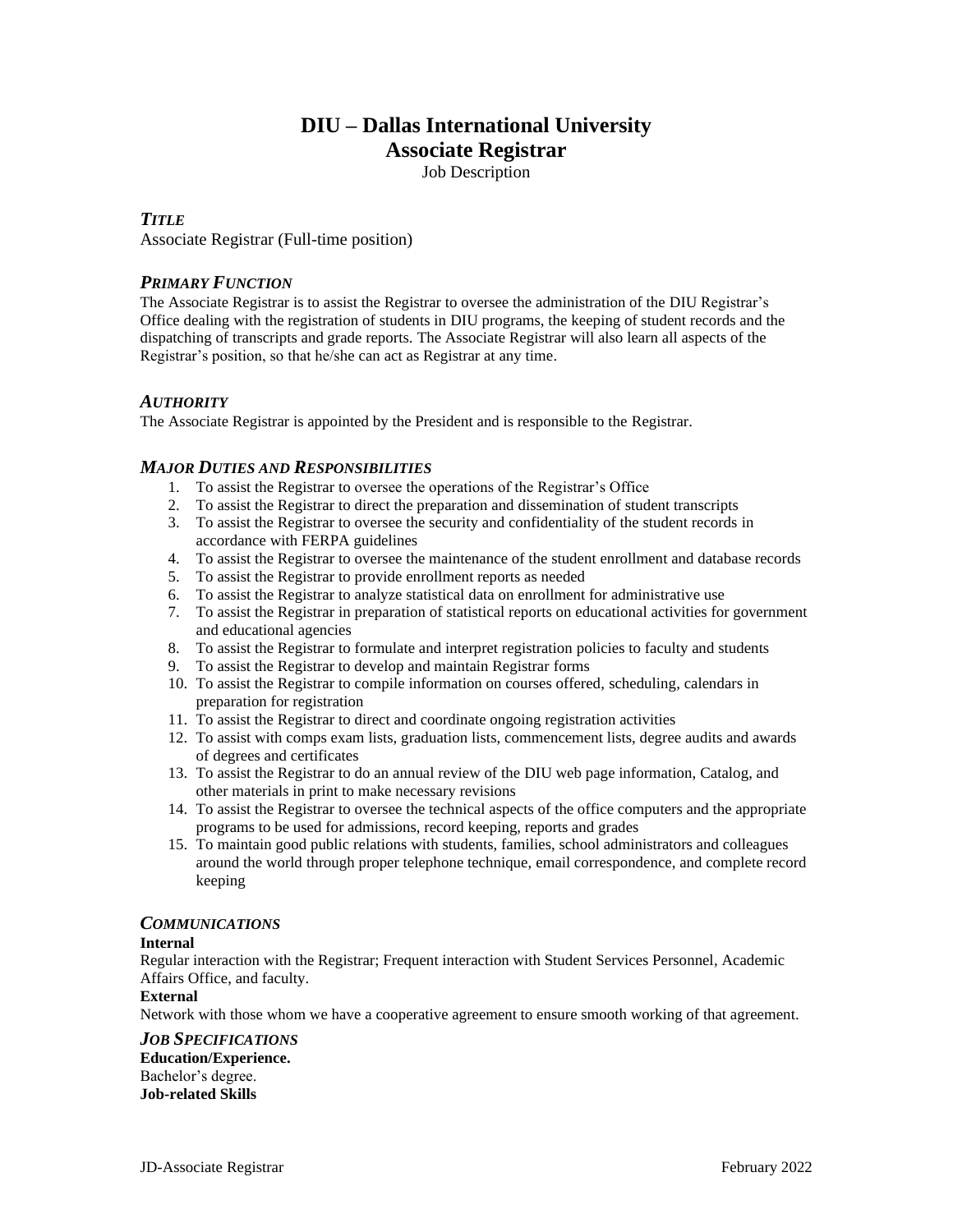# **DIU – Dallas International University Associate Registrar**

Job Description

# *TITLE*

Associate Registrar (Full-time position)

# *PRIMARY FUNCTION*

The Associate Registrar is to assist the Registrar to oversee the administration of the DIU Registrar's Office dealing with the registration of students in DIU programs, the keeping of student records and the dispatching of transcripts and grade reports. The Associate Registrar will also learn all aspects of the Registrar's position, so that he/she can act as Registrar at any time.

# *AUTHORITY*

The Associate Registrar is appointed by the President and is responsible to the Registrar.

### *MAJOR DUTIES AND RESPONSIBILITIES*

- 1. To assist the Registrar to oversee the operations of the Registrar's Office
- 2. To assist the Registrar to direct the preparation and dissemination of student transcripts
- 3. To assist the Registrar to oversee the security and confidentiality of the student records in accordance with FERPA guidelines
- 4. To assist the Registrar to oversee the maintenance of the student enrollment and database records
- 5. To assist the Registrar to provide enrollment reports as needed
- 6. To assist the Registrar to analyze statistical data on enrollment for administrative use
- 7. To assist the Registrar in preparation of statistical reports on educational activities for government and educational agencies
- 8. To assist the Registrar to formulate and interpret registration policies to faculty and students
- 9. To assist the Registrar to develop and maintain Registrar forms
- 10. To assist the Registrar to compile information on courses offered, scheduling, calendars in preparation for registration
- 11. To assist the Registrar to direct and coordinate ongoing registration activities
- 12. To assist with comps exam lists, graduation lists, commencement lists, degree audits and awards of degrees and certificates
- 13. To assist the Registrar to do an annual review of the DIU web page information, Catalog, and other materials in print to make necessary revisions
- 14. To assist the Registrar to oversee the technical aspects of the office computers and the appropriate programs to be used for admissions, record keeping, reports and grades
- 15. To maintain good public relations with students, families, school administrators and colleagues around the world through proper telephone technique, email correspondence, and complete record keeping

### *COMMUNICATIONS*

### **Internal**

Regular interaction with the Registrar; Frequent interaction with Student Services Personnel, Academic Affairs Office, and faculty.

### **External**

Network with those whom we have a cooperative agreement to ensure smooth working of that agreement.

*JOB SPECIFICATIONS* **Education/Experience.**  Bachelor's degree. **Job-related Skills**